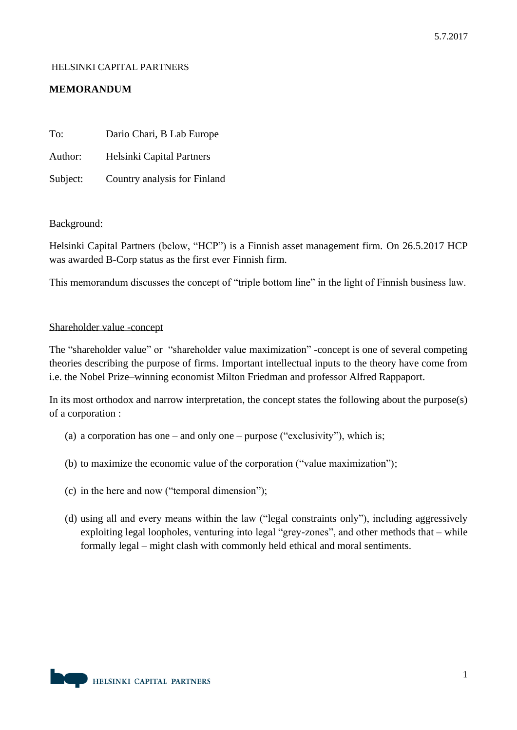# HELSINKI CAPITAL PARTNERS

# **MEMORANDUM**

| To:      | Dario Chari, B Lab Europe    |
|----------|------------------------------|
| Author:  | Helsinki Capital Partners    |
| Subject: | Country analysis for Finland |

## Background:

Helsinki Capital Partners (below, "HCP") is a Finnish asset management firm. On 26.5.2017 HCP was awarded B-Corp status as the first ever Finnish firm.

This memorandum discusses the concept of "triple bottom line" in the light of Finnish business law.

#### Shareholder value -concept

The "shareholder value" or "shareholder value maximization" -concept is one of several competing theories describing the purpose of firms. Important intellectual inputs to the theory have come from i.e. the Nobel Prize–winning economist Milton Friedman and professor Alfred Rappaport.

In its most orthodox and narrow interpretation, the concept states the following about the purpose(s) of a corporation :

- (a) a corporation has one and only one purpose ("exclusivity"), which is;
- (b) to maximize the economic value of the corporation ("value maximization");
- (c) in the here and now ("temporal dimension");
- (d) using all and every means within the law ("legal constraints only"), including aggressively exploiting legal loopholes, venturing into legal "grey-zones", and other methods that – while formally legal – might clash with commonly held ethical and moral sentiments.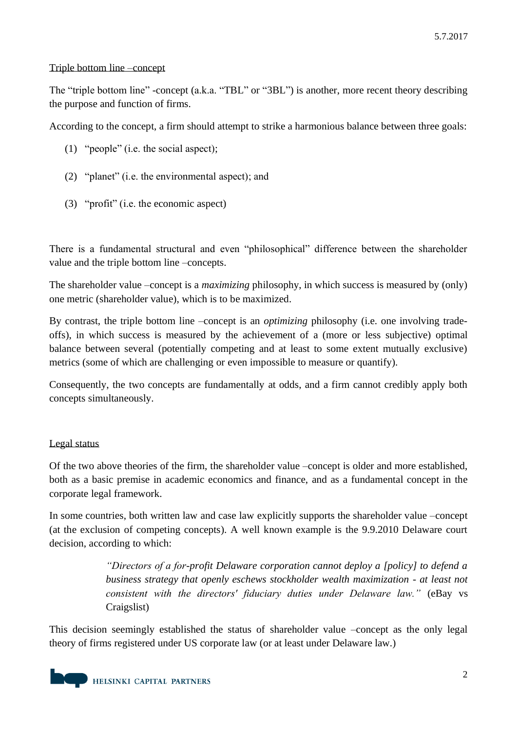# Triple bottom line –concept

The "triple bottom line" -concept (a.k.a. "TBL" or "3BL") is another, more recent theory describing the purpose and function of firms.

According to the concept, a firm should attempt to strike a harmonious balance between three goals:

- (1) "people" (i.e. the social aspect);
- (2) "planet" (i.e. the environmental aspect); and
- (3) "profit" (i.e. the economic aspect)

There is a fundamental structural and even "philosophical" difference between the shareholder value and the triple bottom line –concepts.

The shareholder value –concept is a *maximizing* philosophy, in which success is measured by (only) one metric (shareholder value), which is to be maximized.

By contrast, the triple bottom line –concept is an *optimizing* philosophy (i.e. one involving tradeoffs), in which success is measured by the achievement of a (more or less subjective) optimal balance between several (potentially competing and at least to some extent mutually exclusive) metrics (some of which are challenging or even impossible to measure or quantify).

Consequently, the two concepts are fundamentally at odds, and a firm cannot credibly apply both concepts simultaneously.

# Legal status

Of the two above theories of the firm, the shareholder value –concept is older and more established, both as a basic premise in academic economics and finance, and as a fundamental concept in the corporate legal framework.

In some countries, both written law and case law explicitly supports the shareholder value –concept (at the exclusion of competing concepts). A well known example is the 9.9.2010 Delaware court decision, according to which:

> *"Directors of a for-profit Delaware corporation cannot deploy a [policy] to defend a business strategy that openly eschews stockholder wealth maximization - at least not consistent with the directors' fiduciary duties under Delaware law."* (eBay vs Craigslist)

This decision seemingly established the status of shareholder value –concept as the only legal theory of firms registered under US corporate law (or at least under Delaware law.)

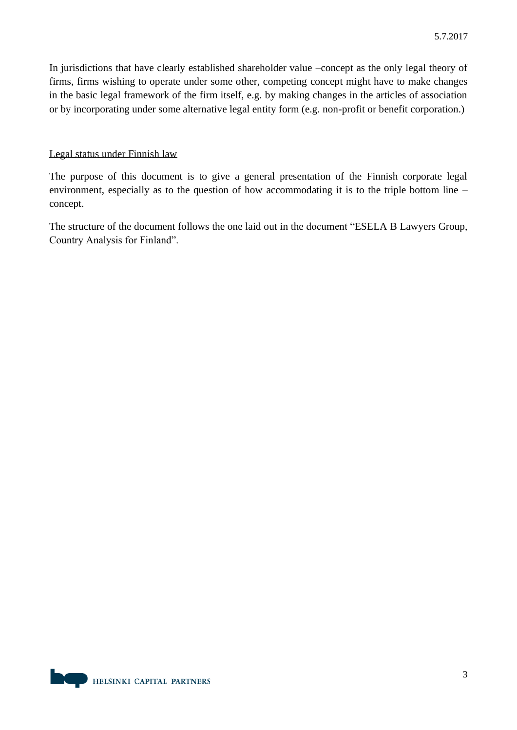In jurisdictions that have clearly established shareholder value –concept as the only legal theory of firms, firms wishing to operate under some other, competing concept might have to make changes in the basic legal framework of the firm itself, e.g. by making changes in the articles of association or by incorporating under some alternative legal entity form (e.g. non-profit or benefit corporation.)

# Legal status under Finnish law

The purpose of this document is to give a general presentation of the Finnish corporate legal environment, especially as to the question of how accommodating it is to the triple bottom line – concept.

The structure of the document follows the one laid out in the document "ESELA B Lawyers Group, Country Analysis for Finland".

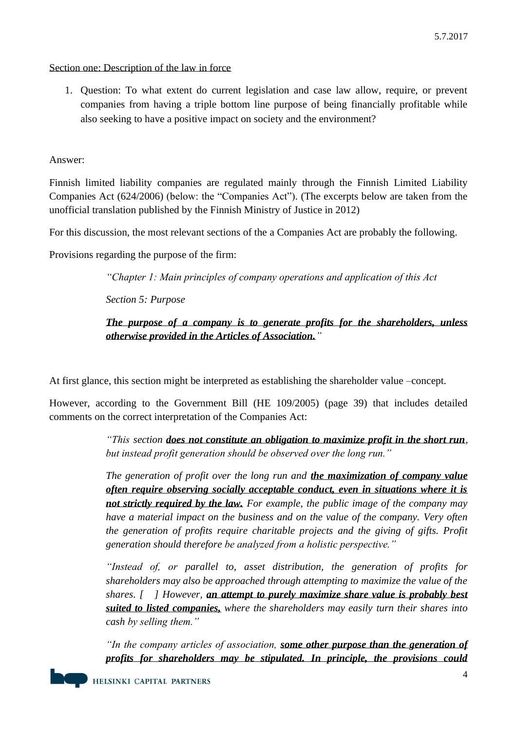## Section one: Description of the law in force

1. Question: To what extent do current legislation and case law allow, require, or prevent companies from having a triple bottom line purpose of being financially profitable while also seeking to have a positive impact on society and the environment?

Answer:

Finnish limited liability companies are regulated mainly through the Finnish Limited Liability Companies Act (624/2006) (below: the "Companies Act"). (The excerpts below are taken from the unofficial translation published by the Finnish Ministry of Justice in 2012)

For this discussion, the most relevant sections of the a Companies Act are probably the following.

Provisions regarding the purpose of the firm:

*"Chapter 1: Main principles of company operations and application of this Act*

*Section 5: Purpose*

# *The purpose of a company is to generate profits for the shareholders, unless otherwise provided in the Articles of Association."*

At first glance, this section might be interpreted as establishing the shareholder value –concept.

However, according to the Government Bill (HE 109/2005) (page 39) that includes detailed comments on the correct interpretation of the Companies Act:

> *"This section does not constitute an obligation to maximize profit in the short run, but instead profit generation should be observed over the long run."*

> *The generation of profit over the long run and the maximization of company value often require observing socially acceptable conduct, even in situations where it is not strictly required by the law. For example, the public image of the company may have a material impact on the business and on the value of the company. Very often the generation of profits require charitable projects and the giving of gifts. Profit generation should therefore be analyzed from a holistic perspective."*

> *"Instead of, or parallel to, asset distribution, the generation of profits for shareholders may also be approached through attempting to maximize the value of the shares. [ ] However, an attempt to purely maximize share value is probably best suited to listed companies, where the shareholders may easily turn their shares into cash by selling them."*

> *"In the company articles of association, some other purpose than the generation of profits for shareholders may be stipulated. In principle, the provisions could*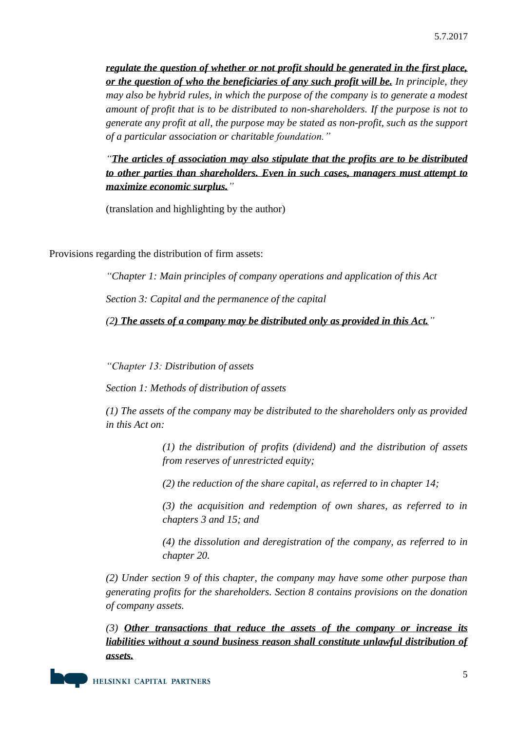*regulate the question of whether or not profit should be generated in the first place, or the question of who the beneficiaries of any such profit will be. In principle, they may also be hybrid rules, in which the purpose of the company is to generate a modest amount of profit that is to be distributed to non-shareholders. If the purpose is not to generate any profit at all, the purpose may be stated as non-profit, such as the support of a particular association or charitable foundation."* 

*"The articles of association may also stipulate that the profits are to be distributed to other parties than shareholders. Even in such cases, managers must attempt to maximize economic surplus."* 

(translation and highlighting by the author)

Provisions regarding the distribution of firm assets:

*"Chapter 1: Main principles of company operations and application of this Act Section 3: Capital and the permanence of the capital*

*(2) The assets of a company may be distributed only as provided in this Act."*

*"Chapter 13: Distribution of assets*

*Section 1: Methods of distribution of assets*

*(1) The assets of the company may be distributed to the shareholders only as provided in this Act on:*

> *(1) the distribution of profits (dividend) and the distribution of assets from reserves of unrestricted equity;*

*(2) the reduction of the share capital, as referred to in chapter 14;*

*(3) the acquisition and redemption of own shares, as referred to in chapters 3 and 15; and*

*(4) the dissolution and deregistration of the company, as referred to in chapter 20.*

*(2) Under section 9 of this chapter, the company may have some other purpose than generating profits for the shareholders. Section 8 contains provisions on the donation of company assets.*

*(3) Other transactions that reduce the assets of the company or increase its liabilities without a sound business reason shall constitute unlawful distribution of assets.*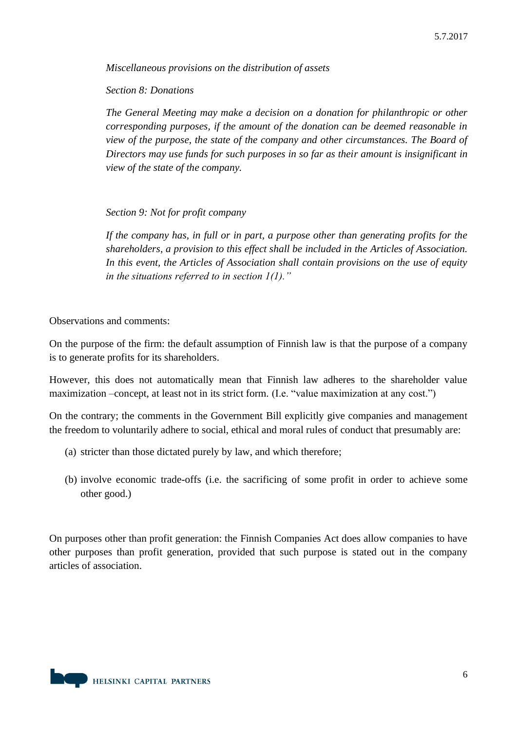*Miscellaneous provisions on the distribution of assets*

*Section 8: Donations*

*The General Meeting may make a decision on a donation for philanthropic or other corresponding purposes, if the amount of the donation can be deemed reasonable in view of the purpose, the state of the company and other circumstances. The Board of Directors may use funds for such purposes in so far as their amount is insignificant in view of the state of the company.*

*Section 9: Not for profit company*

*If the company has, in full or in part, a purpose other than generating profits for the shareholders, a provision to this effect shall be included in the Articles of Association. In this event, the Articles of Association shall contain provisions on the use of equity in the situations referred to in section 1(1)."*

Observations and comments:

On the purpose of the firm: the default assumption of Finnish law is that the purpose of a company is to generate profits for its shareholders.

However, this does not automatically mean that Finnish law adheres to the shareholder value maximization –concept, at least not in its strict form. (I.e. "value maximization at any cost.")

On the contrary; the comments in the Government Bill explicitly give companies and management the freedom to voluntarily adhere to social, ethical and moral rules of conduct that presumably are:

- (a) stricter than those dictated purely by law, and which therefore;
- (b) involve economic trade-offs (i.e. the sacrificing of some profit in order to achieve some other good.)

On purposes other than profit generation: the Finnish Companies Act does allow companies to have other purposes than profit generation, provided that such purpose is stated out in the company articles of association.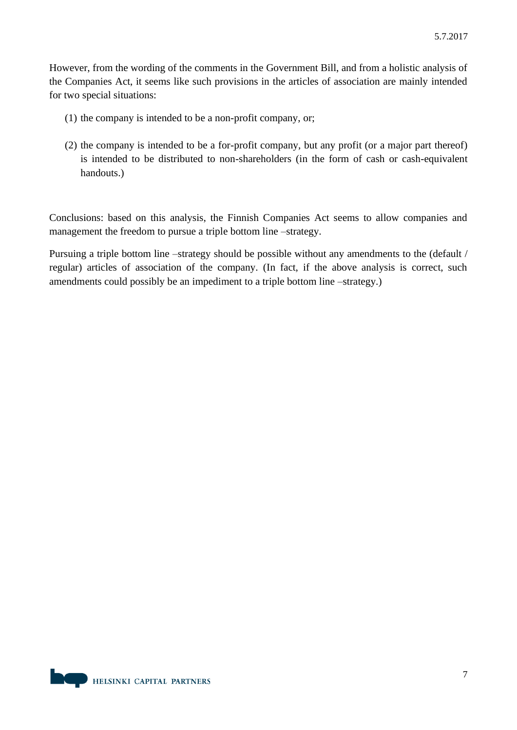However, from the wording of the comments in the Government Bill, and from a holistic analysis of the Companies Act, it seems like such provisions in the articles of association are mainly intended for two special situations:

- (1) the company is intended to be a non-profit company, or;
- (2) the company is intended to be a for-profit company, but any profit (or a major part thereof) is intended to be distributed to non-shareholders (in the form of cash or cash-equivalent handouts.)

Conclusions: based on this analysis, the Finnish Companies Act seems to allow companies and management the freedom to pursue a triple bottom line –strategy.

Pursuing a triple bottom line –strategy should be possible without any amendments to the (default / regular) articles of association of the company. (In fact, if the above analysis is correct, such amendments could possibly be an impediment to a triple bottom line –strategy.)

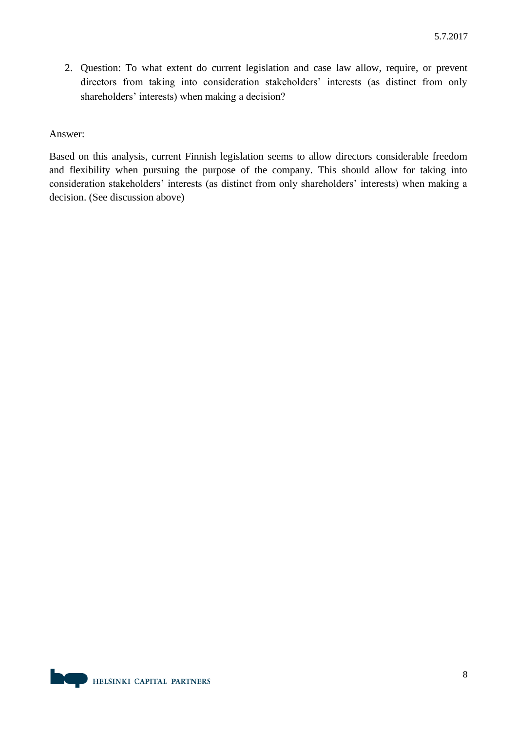2. Question: To what extent do current legislation and case law allow, require, or prevent directors from taking into consideration stakeholders' interests (as distinct from only shareholders' interests) when making a decision?

#### Answer:

Based on this analysis, current Finnish legislation seems to allow directors considerable freedom and flexibility when pursuing the purpose of the company. This should allow for taking into consideration stakeholders' interests (as distinct from only shareholders' interests) when making a decision. (See discussion above)

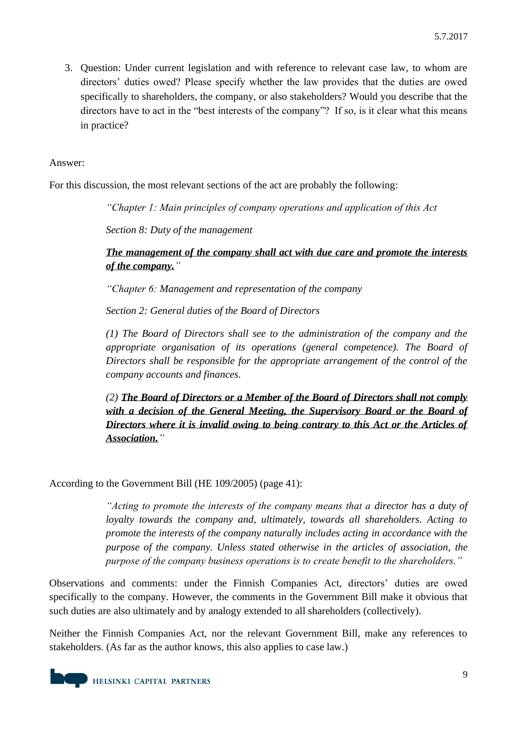3. Question: Under current legislation and with reference to relevant case law, to whom are directors' duties owed? Please specify whether the law provides that the duties are owed specifically to shareholders, the company, or also stakeholders? Would you describe that the directors have to act in the "best interests of the company"? If so, is it clear what this means in practice?

# Answer:

For this discussion, the most relevant sections of the act are probably the following:

*"Chapter 1: Main principles of company operations and application of this Act*

*Section 8: Duty of the management*

*The management of the company shall act with due care and promote the interests of the company."*

*"Chapter 6: Management and representation of the company*

*Section 2: General duties of the Board of Directors*

*(1) The Board of Directors shall see to the administration of the company and the appropriate organisation of its operations (general competence). The Board of Directors shall be responsible for the appropriate arrangement of the control of the company accounts and finances.*

*(2) The Board of Directors or a Member of the Board of Directors shall not comply with a decision of the General Meeting, the Supervisory Board or the Board of Directors where it is invalid owing to being contrary to this Act or the Articles of Association."*

According to the Government Bill (HE 109/2005) (page 41):

*"Acting to promote the interests of the company means that a director has a duty of loyalty towards the company and, ultimately, towards all shareholders. Acting to promote the interests of the company naturally includes acting in accordance with the purpose of the company. Unless stated otherwise in the articles of association, the purpose of the company business operations is to create benefit to the shareholders."*

Observations and comments: under the Finnish Companies Act, directors' duties are owed specifically to the company. However, the comments in the Government Bill make it obvious that such duties are also ultimately and by analogy extended to all shareholders (collectively).

Neither the Finnish Companies Act, nor the relevant Government Bill, make any references to stakeholders. (As far as the author knows, this also applies to case law.)

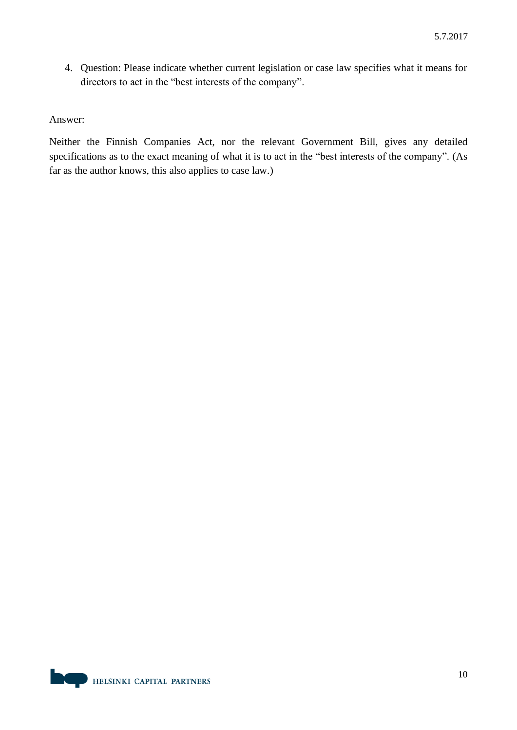4. Question: Please indicate whether current legislation or case law specifies what it means for directors to act in the "best interests of the company".

#### Answer:

Neither the Finnish Companies Act, nor the relevant Government Bill, gives any detailed specifications as to the exact meaning of what it is to act in the "best interests of the company". (As far as the author knows, this also applies to case law.)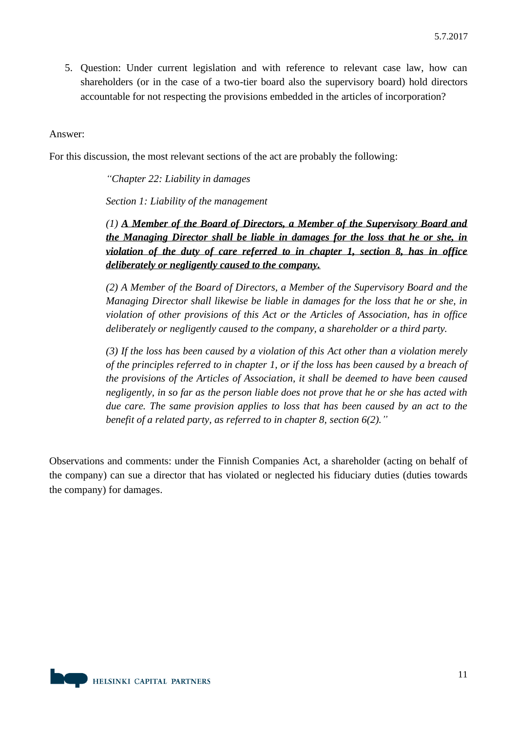5. Question: Under current legislation and with reference to relevant case law, how can shareholders (or in the case of a two-tier board also the supervisory board) hold directors accountable for not respecting the provisions embedded in the articles of incorporation?

## Answer:

For this discussion, the most relevant sections of the act are probably the following:

*"Chapter 22: Liability in damages*

*Section 1: Liability of the management*

*(1) A Member of the Board of Directors, a Member of the Supervisory Board and the Managing Director shall be liable in damages for the loss that he or she, in violation of the duty of care referred to in chapter 1, section 8, has in office deliberately or negligently caused to the company.*

*(2) A Member of the Board of Directors, a Member of the Supervisory Board and the Managing Director shall likewise be liable in damages for the loss that he or she, in violation of other provisions of this Act or the Articles of Association, has in office deliberately or negligently caused to the company, a shareholder or a third party.*

*(3) If the loss has been caused by a violation of this Act other than a violation merely of the principles referred to in chapter 1, or if the loss has been caused by a breach of the provisions of the Articles of Association, it shall be deemed to have been caused negligently, in so far as the person liable does not prove that he or she has acted with due care. The same provision applies to loss that has been caused by an act to the benefit of a related party, as referred to in chapter 8, section 6(2)."*

Observations and comments: under the Finnish Companies Act, a shareholder (acting on behalf of the company) can sue a director that has violated or neglected his fiduciary duties (duties towards the company) for damages.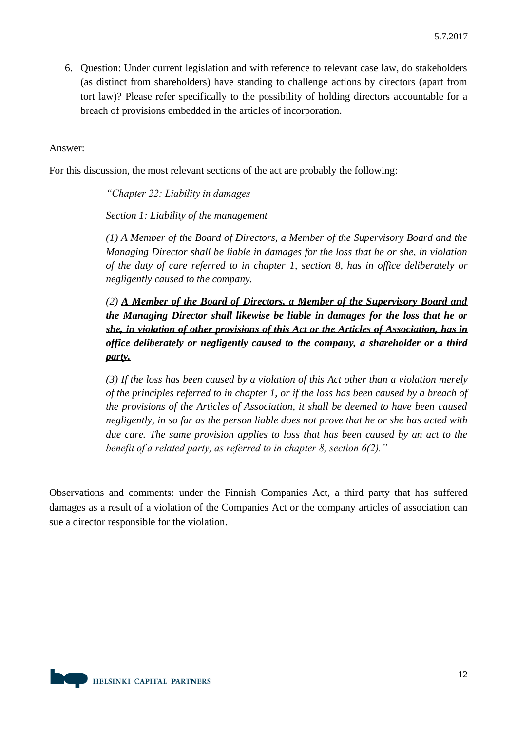6. Question: Under current legislation and with reference to relevant case law, do stakeholders (as distinct from shareholders) have standing to challenge actions by directors (apart from tort law)? Please refer specifically to the possibility of holding directors accountable for a breach of provisions embedded in the articles of incorporation.

## Answer:

For this discussion, the most relevant sections of the act are probably the following:

*"Chapter 22: Liability in damages*

*Section 1: Liability of the management*

*(1) A Member of the Board of Directors, a Member of the Supervisory Board and the Managing Director shall be liable in damages for the loss that he or she, in violation of the duty of care referred to in chapter 1, section 8, has in office deliberately or negligently caused to the company.*

*(2) A Member of the Board of Directors, a Member of the Supervisory Board and the Managing Director shall likewise be liable in damages for the loss that he or she, in violation of other provisions of this Act or the Articles of Association, has in office deliberately or negligently caused to the company, a shareholder or a third party.*

*(3) If the loss has been caused by a violation of this Act other than a violation merely of the principles referred to in chapter 1, or if the loss has been caused by a breach of the provisions of the Articles of Association, it shall be deemed to have been caused negligently, in so far as the person liable does not prove that he or she has acted with due care. The same provision applies to loss that has been caused by an act to the benefit of a related party, as referred to in chapter 8, section 6(2)."*

Observations and comments: under the Finnish Companies Act, a third party that has suffered damages as a result of a violation of the Companies Act or the company articles of association can sue a director responsible for the violation.

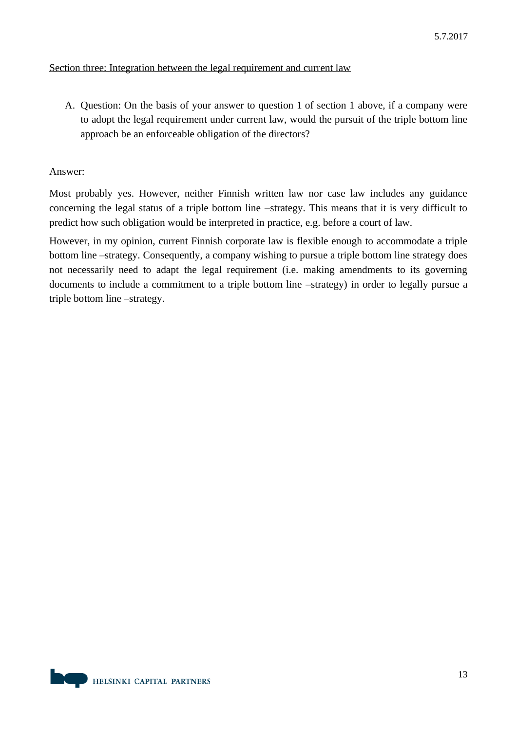# Section three: Integration between the legal requirement and current law

A. Question: On the basis of your answer to question 1 of section 1 above, if a company were to adopt the legal requirement under current law, would the pursuit of the triple bottom line approach be an enforceable obligation of the directors?

## Answer:

Most probably yes. However, neither Finnish written law nor case law includes any guidance concerning the legal status of a triple bottom line –strategy. This means that it is very difficult to predict how such obligation would be interpreted in practice, e.g. before a court of law.

However, in my opinion, current Finnish corporate law is flexible enough to accommodate a triple bottom line –strategy. Consequently, a company wishing to pursue a triple bottom line strategy does not necessarily need to adapt the legal requirement (i.e. making amendments to its governing documents to include a commitment to a triple bottom line –strategy) in order to legally pursue a triple bottom line –strategy.

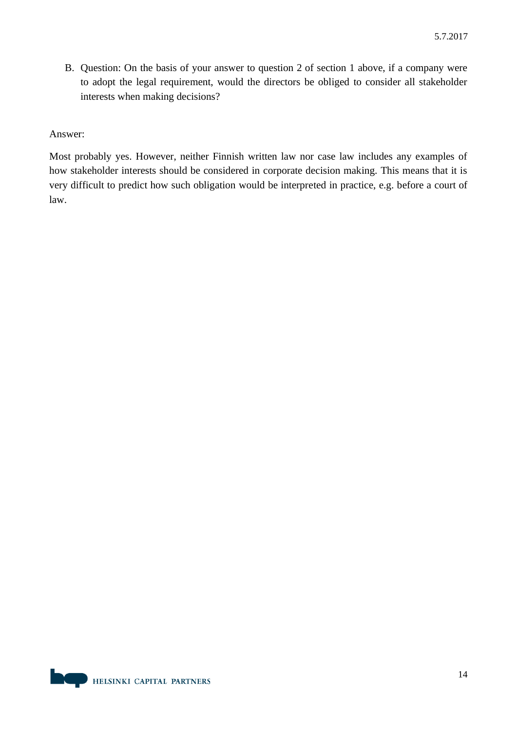B. Question: On the basis of your answer to question 2 of section 1 above, if a company were to adopt the legal requirement, would the directors be obliged to consider all stakeholder interests when making decisions?

## Answer:

Most probably yes. However, neither Finnish written law nor case law includes any examples of how stakeholder interests should be considered in corporate decision making. This means that it is very difficult to predict how such obligation would be interpreted in practice, e.g. before a court of law.

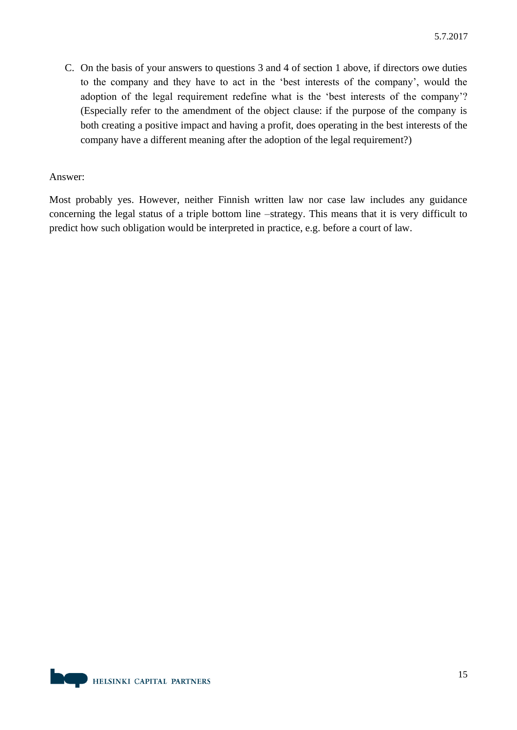C. On the basis of your answers to questions 3 and 4 of section 1 above, if directors owe duties to the company and they have to act in the 'best interests of the company', would the adoption of the legal requirement redefine what is the 'best interests of the company'? (Especially refer to the amendment of the object clause: if the purpose of the company is both creating a positive impact and having a profit, does operating in the best interests of the company have a different meaning after the adoption of the legal requirement?)

## Answer:

Most probably yes. However, neither Finnish written law nor case law includes any guidance concerning the legal status of a triple bottom line –strategy. This means that it is very difficult to predict how such obligation would be interpreted in practice, e.g. before a court of law.

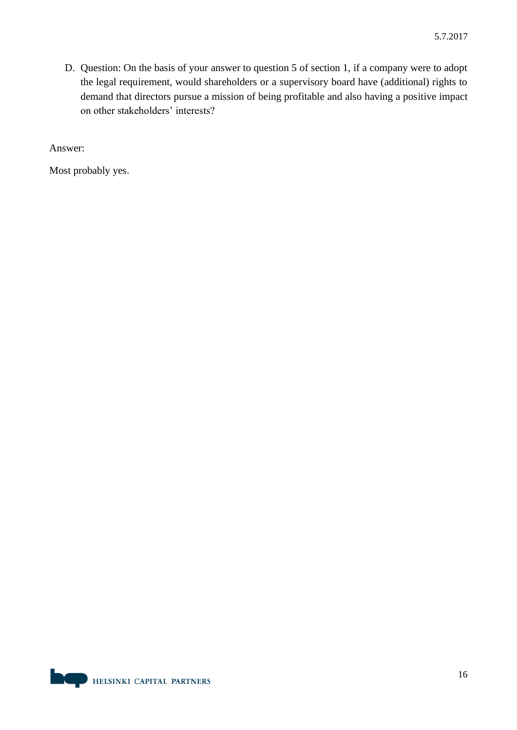D. Question: On the basis of your answer to question 5 of section 1, if a company were to adopt the legal requirement, would shareholders or a supervisory board have (additional) rights to demand that directors pursue a mission of being profitable and also having a positive impact on other stakeholders' interests?

Answer:

Most probably yes.

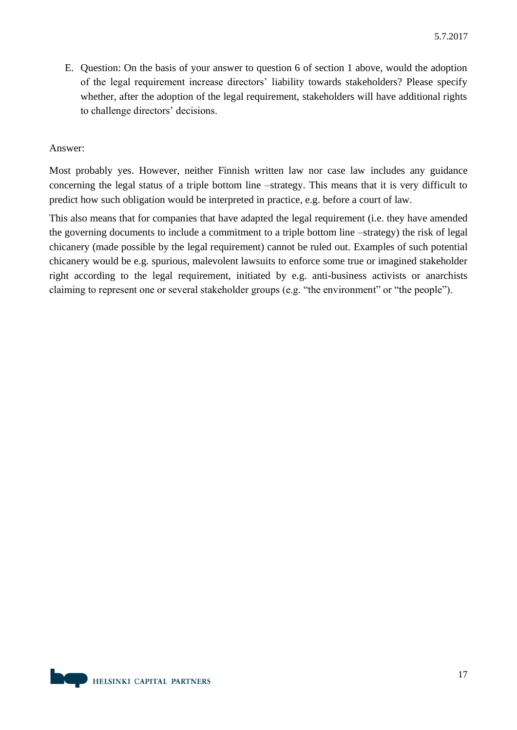E. Question: On the basis of your answer to question 6 of section 1 above, would the adoption of the legal requirement increase directors' liability towards stakeholders? Please specify whether, after the adoption of the legal requirement, stakeholders will have additional rights to challenge directors' decisions.

# Answer:

Most probably yes. However, neither Finnish written law nor case law includes any guidance concerning the legal status of a triple bottom line –strategy. This means that it is very difficult to predict how such obligation would be interpreted in practice, e.g. before a court of law.

This also means that for companies that have adapted the legal requirement (i.e. they have amended the governing documents to include a commitment to a triple bottom line –strategy) the risk of legal chicanery (made possible by the legal requirement) cannot be ruled out. Examples of such potential chicanery would be e.g. spurious, malevolent lawsuits to enforce some true or imagined stakeholder right according to the legal requirement, initiated by e.g. anti-business activists or anarchists claiming to represent one or several stakeholder groups (e.g. "the environment" or "the people").